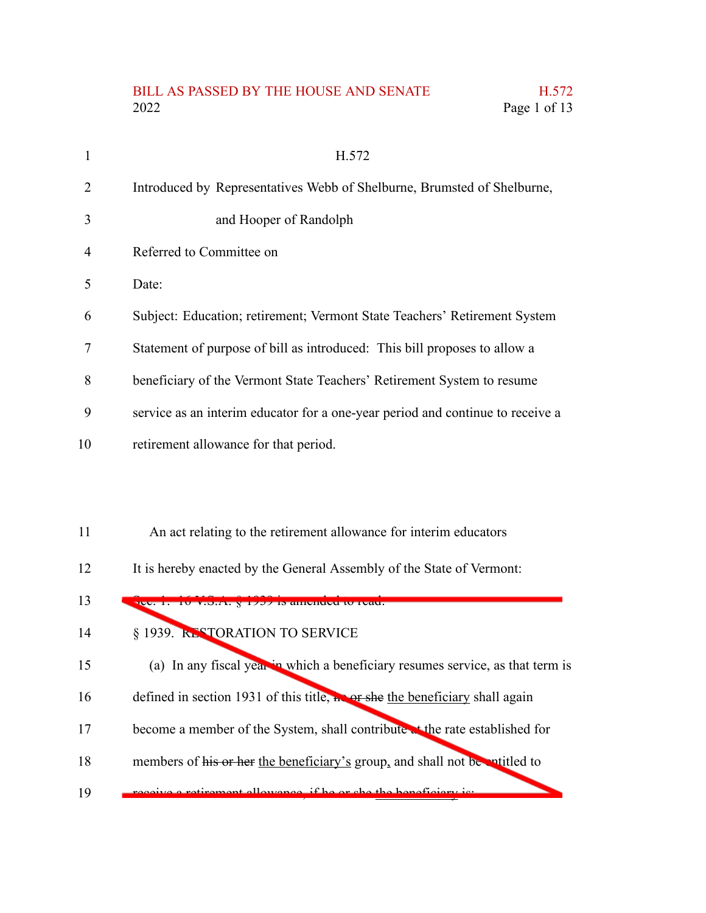## BILL AS PASSED BY THE HOUSE AND SENATE H.572 2022 Page 1 of 13

| 1  | H.572                                                                          |
|----|--------------------------------------------------------------------------------|
| 2  | Introduced by Representatives Webb of Shelburne, Brumsted of Shelburne,        |
| 3  | and Hooper of Randolph                                                         |
| 4  | Referred to Committee on                                                       |
| 5  | Date:                                                                          |
| 6  | Subject: Education; retirement; Vermont State Teachers' Retirement System      |
| 7  | Statement of purpose of bill as introduced: This bill proposes to allow a      |
| 8  | beneficiary of the Vermont State Teachers' Retirement System to resume         |
| 9  | service as an interim educator for a one-year period and continue to receive a |
| 10 | retirement allowance for that period.                                          |
|    |                                                                                |
|    |                                                                                |

- An act relating to the retirement allowance for interim educators 11
- It is hereby enacted by the General Assembly of the State of Vermont: 12

## $S$ ec. 1. 16 V.S.A.  $\S 1939$  is amended to read. § 1939. RESTORATION TO SERVICE (a) In any fiscal year in which a beneficiary resumes service, as that term is defined in section 1931 of this title, he or she the beneficiary shall again become a member of the System, shall contribute at the rate established for members of his or her the beneficiary's group, and shall not be entitled to receive a retirement allowance, if he or she the beneficiary is: 13 14 15 16 17 18 19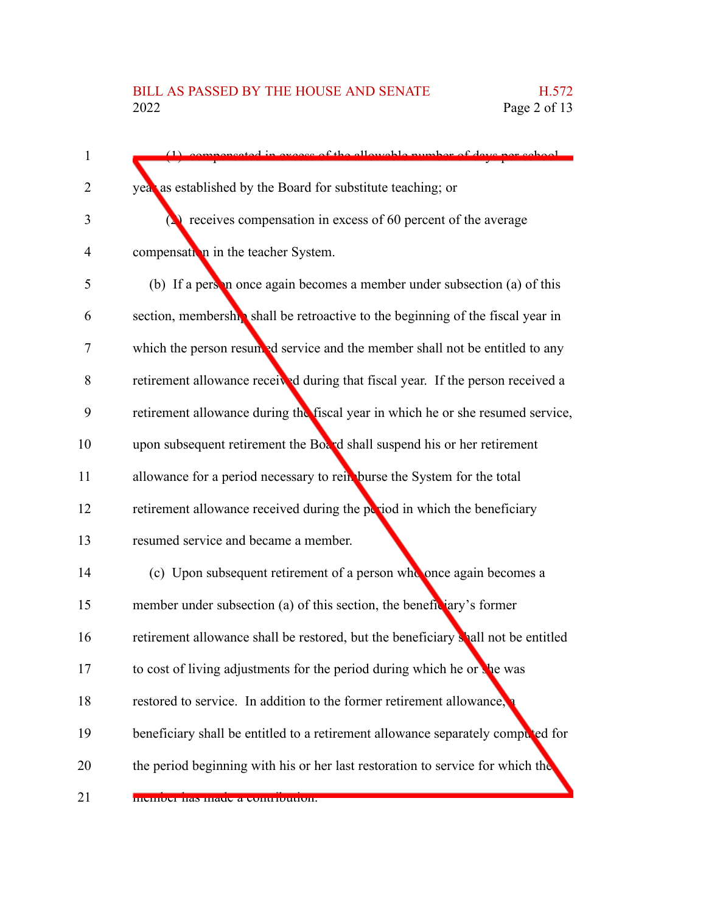| 1              | preated in execce of the allowable number of days ner school                      |
|----------------|-----------------------------------------------------------------------------------|
| 2              | year as established by the Board for substitute teaching; or                      |
| 3              | $\triangle$ receives compensation in excess of 60 percent of the average          |
| $\overline{4}$ | compensation in the teacher System.                                               |
| 5              | (b) If a person once again becomes a member under subsection (a) of this          |
| 6              | section, membership shall be retroactive to the beginning of the fiscal year in   |
| $\tau$         | which the person resumed service and the member shall not be entitled to any      |
| 8              | retirement allowance received during that fiscal year. If the person received a   |
| 9              | retirement allowance during the fiscal year in which he or she resumed service,   |
| 10             | upon subsequent retirement the Board shall suspend his or her retirement          |
| 11             | allowance for a period necessary to rein burse the System for the total           |
| 12             | retirement allowance received during the period in which the beneficiary          |
| 13             | resumed service and became a member.                                              |
| 14             | (c) Upon subsequent retirement of a person who once again becomes a               |
| 15             | member under subsection (a) of this section, the beneficiary's former             |
| 16             | retirement allowance shall be restored, but the beneficiary shall not be entitled |
| 17             | to cost of living adjustments for the period during which he or the was           |
| 18             | restored to service. In addition to the former retirement allowance,              |
| 19             | beneficiary shall be entitled to a retirement allowance separately computed for   |
| 20             | the period beginning with his or her last restoration to service for which the    |
| 21             | <b>INCHIDEL HAS HIAUC A CONTIDUUDII.</b>                                          |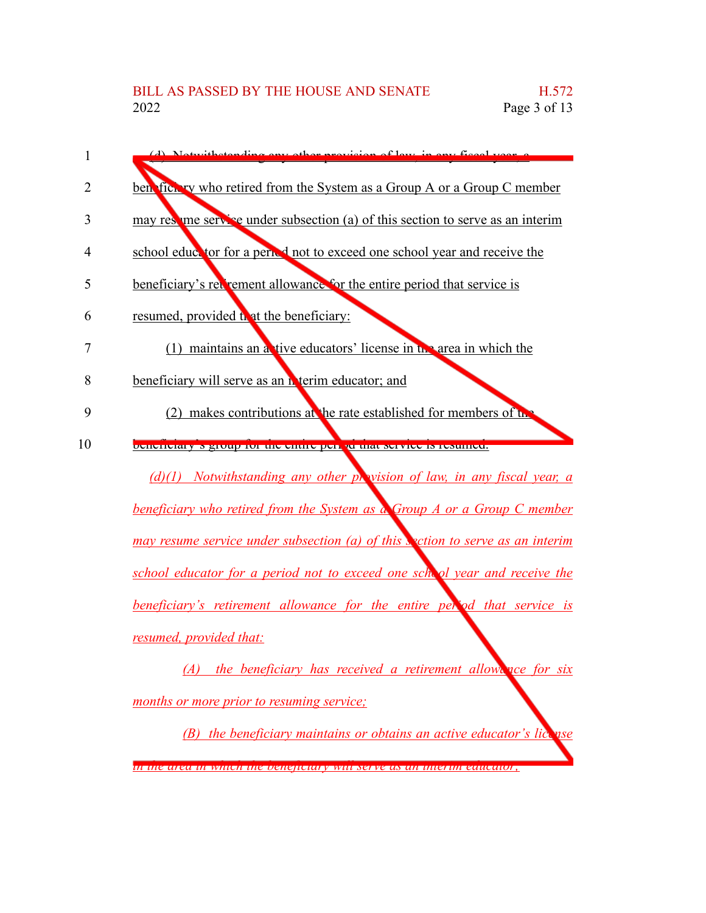| 1  | (d) Notwithetending env ather previous of leve in ony figuel your                    |
|----|--------------------------------------------------------------------------------------|
| 2  | ben fict by who retired from the System as a Group A or a Group C member             |
|    |                                                                                      |
| 3  | may resolute the service under subsection (a) of this section to serve as an interim |
| 4  | school eductor for a period not to exceed one school year and receive the            |
| 5  | beneficiary's red rement allowance for the entire period that service is             |
| 6  | resumed, provided to at the beneficiary:                                             |
| 7  | (1) maintains an a tive educators' license in the area in which the                  |
| 8  | beneficiary will serve as an <b>N</b> terim educator; and                            |
| 9  | (2) makes contributions at the rate established for members of use                   |
| 10 | <u>beneficially signoup for the entire per permatiservice is resulted.</u>           |
|    | $(d)(1)$ Notwithstanding any other prevision of law, in any fiscal year, a           |
|    | <b>beneficiary who retired from the System as a Group A or a Group C member</b>      |
|    | may resume service under subsection (a) of this section to serve as an interim       |
|    | school educator for a period not to exceed one school year and receive the           |
|    | beneficiary's retirement allowance for the entire period that service is             |
|    | resumed, provided that:                                                              |
|    | $(A)$ the beneficiary has received a retirement allowence for six                    |

*months or more prior to resuming service;*

*(B) the beneficiary maintains or obtains an active educator's license in the area in which the beneficiary will serve as an interim educator;*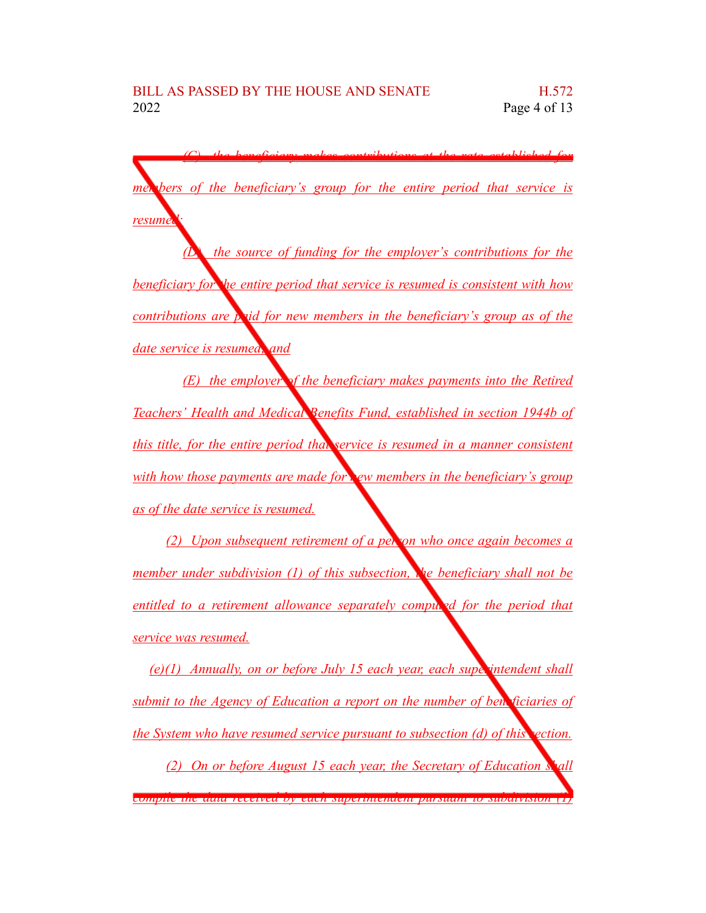*(C) the beneficiary makes contributions at the rate established for members of the beneficiary's group for the entire period that service is*

*resume* 

*(D) the source of funding for the employer's contributions for the beneficiary for the entire period that service is resumed is consistent with how contributions are paid for new members in the beneficiary's group as of the date service is resumed; and*

*(E) the employer of the beneficiary makes payments into the Retired Teachers' Health and Medical Benefits Fund, established in section 1944b of this title, for the entire period that service is resumed in a manner consistent with how those payments are made for new members in the beneficiary's group as of the date service is resumed.*

*(2) Upon subsequent retirement of a person who once again becomes a member under subdivision (1) of this subsection, the beneficiary shall not be entitled to a retirement allowance separately computed for the period that service was resumed.*

*(e)(1) Annually, on or before July 15 each year, each superintendent shall submit to the Agency of Education a report on the number of beneficiaries of the System who have resumed service pursuant to subsection (d) of this section.*

*(2) On or before August 15 each year, the Secretary of Education shall compile the data received by each superintendent pursuant to subdivision (1)*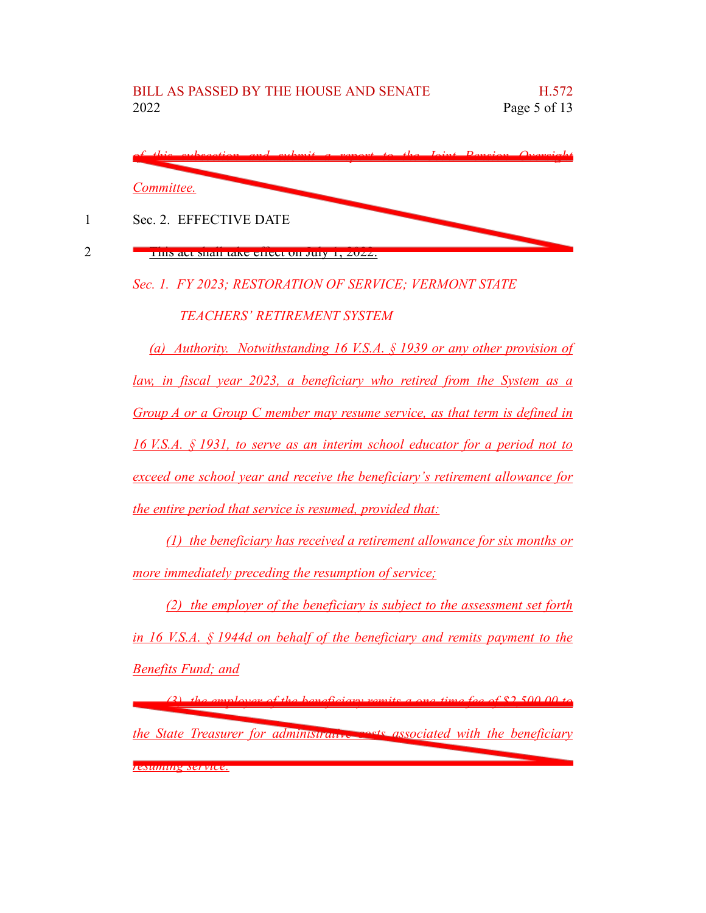

This act shall take effect on July 1, 2022.

1

2

*Sec. 1. FY 2023; RESTORATION OF SERVICE; VERMONT STATE*

*TEACHERS' RETIREMENT SYSTEM*

*(a) Authority. Notwithstanding 16 V.S.A. § 1939 or any other provision of law, in fiscal year 2023, a beneficiary who retired from the System as a Group A or a Group C member may resume service, as that term is defined in 16 V.S.A. § 1931, to serve as an interim school educator for a period not to exceed one school year and receive the beneficiary's retirement allowance for the entire period that service is resumed, provided that:*

*(1) the beneficiary has received a retirement allowance for six months or more immediately preceding the resumption of service;*

*(2) the employer of the beneficiary is subject to the assessment set forth in 16 V.S.A. § 1944d on behalf of the beneficiary and remits payment to the Benefits Fund; and*

*(3) the employer of the beneficiary remits a one-time fee of \$2,500.00 to the State Treasurer for administrative costs associated with the beneficiary resuming service.*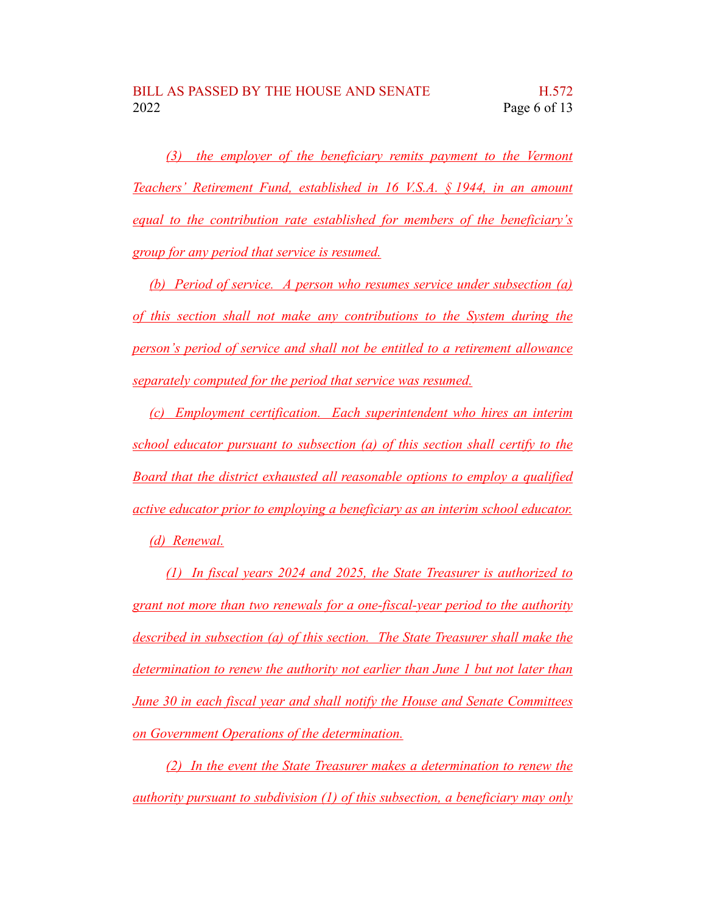*(3) the employer of the beneficiary remits payment to the Vermont Teachers' Retirement Fund, established in 16 V.S.A. § 1944, in an amount equal to the contribution rate established for members of the beneficiary's group for any period that service is resumed.*

*(b) Period of service. A person who resumes service under subsection (a) of this section shall not make any contributions to the System during the person's period of service and shall not be entitled to a retirement allowance separately computed for the period that service was resumed.*

*(c) Employment certification. Each superintendent who hires an interim school educator pursuant to subsection (a) of this section shall certify to the Board that the district exhausted all reasonable options to employ a qualified active educator prior to employing a beneficiary as an interim school educator. (d) Renewal.*

*(1) In fiscal years 2024 and 2025, the State Treasurer is authorized to grant not more than two renewals for a one-fiscal-year period to the authority described in subsection (a) of this section. The State Treasurer shall make the determination to renew the authority not earlier than June 1 but not later than June 30 in each fiscal year and shall notify the House and Senate Committees on Government Operations of the determination.*

*(2) In the event the State Treasurer makes a determination to renew the authority pursuant to subdivision (1) of this subsection, a beneficiary may only*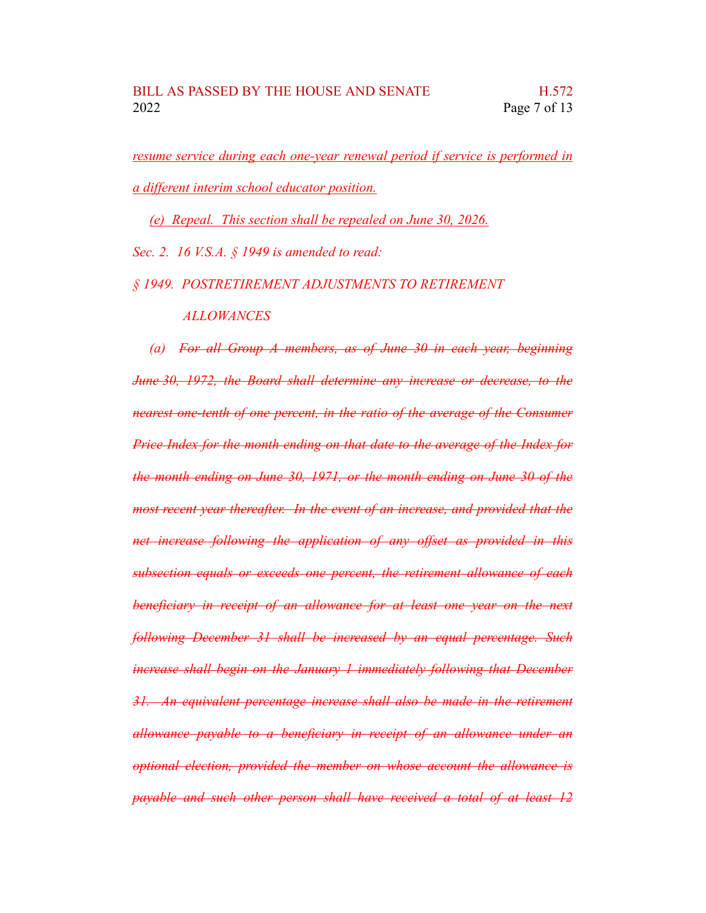*resume service during each one-year renewal period if service is performed in a different interim school educator position.*

*(e) Repeal. This section shall be repealed on June 30, 2026.*

*Sec. 2. 16 V.S.A. § 1949 is amended to read:*

*§ 1949. POSTRETIREMENT ADJUSTMENTS TO RETIREMENT*

## *ALLOWANCES*

*(a) For all Group A members, as of June 30 in each year, beginning June 30, 1972, the Board shall determine any increase or decrease, to the nearest one-tenth of one percent, in the ratio of the average of the Consumer Price Index for the month ending on that date to the average of the Index for the month ending on June 30, 1971, or the month ending on June 30 of the most recent year thereafter. In the event of an increase, and provided that the net increase following the application of any offset as provided in this subsection equals or exceeds one percent, the retirement allowance of each beneficiary in receipt of an allowance for at least one year on the next following December 31 shall be increased by an equal percentage. Such increase shall begin on the January 1 immediately following that December 31. An equivalent percentage increase shall also be made in the retirement allowance payable to a beneficiary in receipt of an allowance under an optional election, provided the member on whose account the allowance is payable and such other person shall have received a total of at least 12*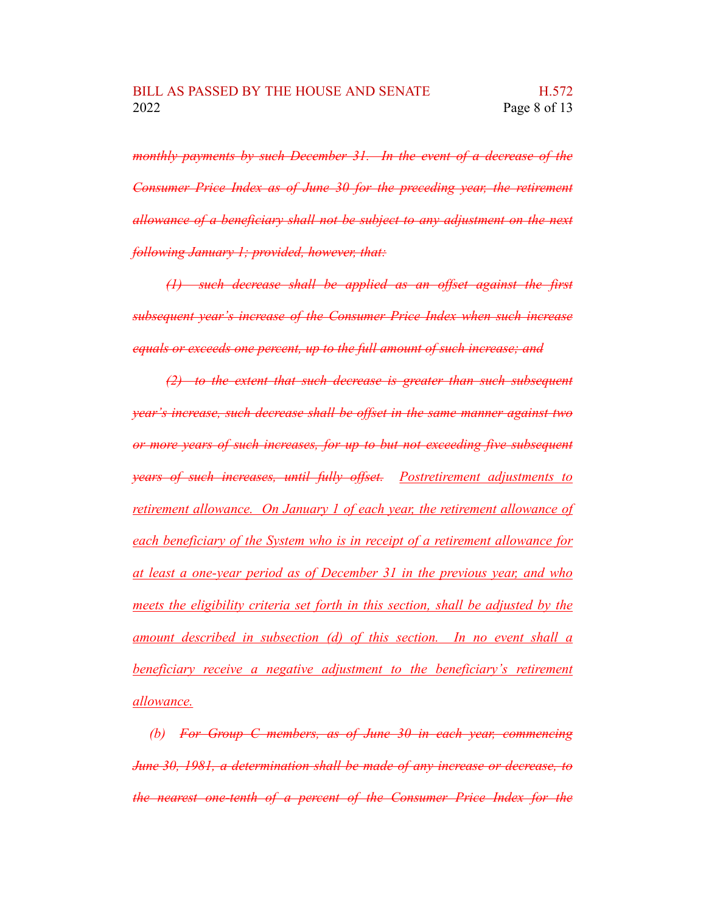*monthly payments by such December 31. In the event of a decrease of the Consumer Price Index as of June 30 for the preceding year, the retirement allowance of a beneficiary shall not be subject to any adjustment on the next following January 1; provided, however, that:*

*(1) such decrease shall be applied as an offset against the first subsequent year's increase of the Consumer Price Index when such increase equals or exceeds one percent, up to the full amount of such increase; and*

*(2) to the extent that such decrease is greater than such subsequent year's increase, such decrease shall be offset in the same manner against two or more years of such increases, for up to but not exceeding five subsequent years of such increases, until fully offset. Postretirement adjustments to retirement allowance. On January 1 of each year, the retirement allowance of each beneficiary of the System who is in receipt of a retirement allowance for at least a one-year period as of December 31 in the previous year, and who meets the eligibility criteria set forth in this section, shall be adjusted by the amount described in subsection (d) of this section. In no event shall a beneficiary receive a negative adjustment to the beneficiary's retirement allowance.*

*(b) For Group C members, as of June 30 in each year, commencing June 30, 1981, a determination shall be made of any increase or decrease, to the nearest one-tenth of a percent of the Consumer Price Index for the*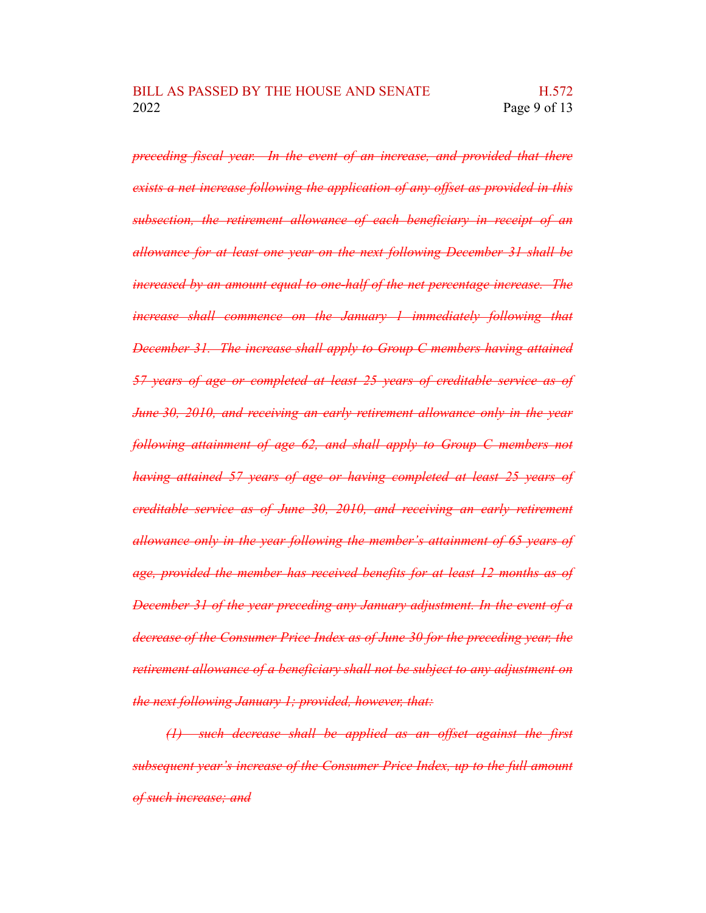*preceding fiscal year. In the event of an increase, and provided that there exists a net increase following the application of any offset as provided in this subsection, the retirement allowance of each beneficiary in receipt of an allowance for at least one year on the next following December 31 shall be increased by an amount equal to one-half of the net percentage increase. The increase shall commence on the January 1 immediately following that December 31. The increase shall apply to Group C members having attained 57 years of age or completed at least 25 years of creditable service as of June 30, 2010, and receiving an early retirement allowance only in the year following attainment of age 62, and shall apply to Group C members not having attained 57 years of age or having completed at least 25 years of creditable service as of June 30, 2010, and receiving an early retirement allowance only in the year following the member's attainment of 65 years of age, provided the member has received benefits for at least 12 months as of December 31 of the year preceding any January adjustment. In the event of a decrease of the Consumer Price Index as of June 30 for the preceding year, the retirement allowance of a beneficiary shall not be subject to any adjustment on the next following January 1; provided, however, that:*

*(1) such decrease shall be applied as an offset against the first subsequent year's increase of the Consumer Price Index, up to the full amount of such increase; and*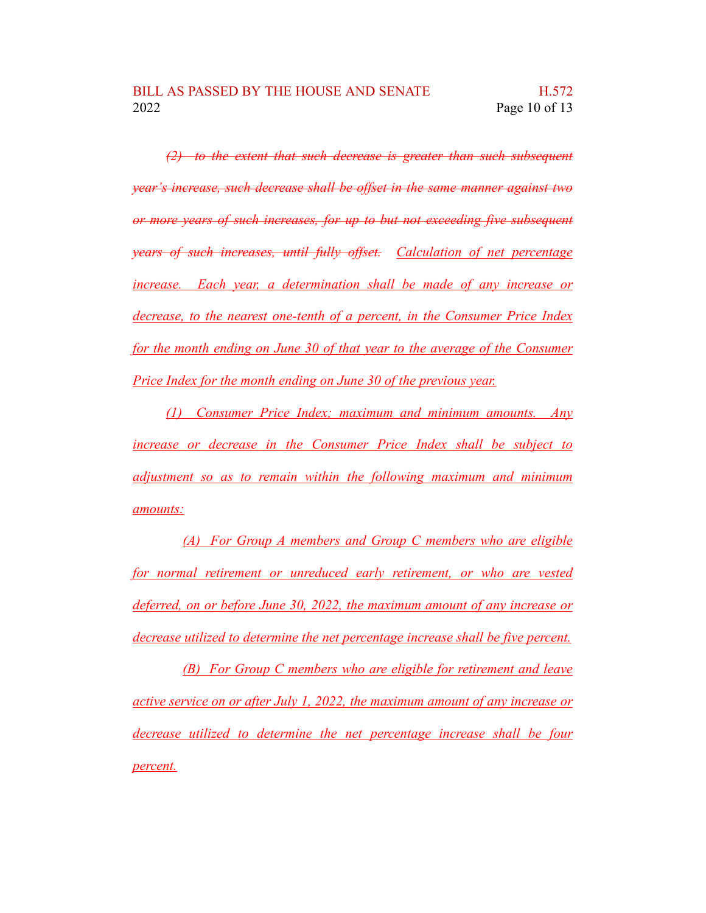*(2) to the extent that such decrease is greater than such subsequent year's increase, such decrease shall be offset in the same manner against two or more years of such increases, for up to but not exceeding five subsequent years of such increases, until fully offset. Calculation of net percentage increase. Each year, a determination shall be made of any increase or decrease, to the nearest one-tenth of a percent, in the Consumer Price Index for the month ending on June 30 of that year to the average of the Consumer Price Index for the month ending on June 30 of the previous year.*

*(1) Consumer Price Index; maximum and minimum amounts. Any increase or decrease in the Consumer Price Index shall be subject to adjustment so as to remain within the following maximum and minimum amounts:*

*(A) For Group A members and Group C members who are eligible for normal retirement or unreduced early retirement, or who are vested deferred, on or before June 30, 2022, the maximum amount of any increase or decrease utilized to determine the net percentage increase shall be five percent.*

*(B) For Group C members who are eligible for retirement and leave active service on or after July 1, 2022, the maximum amount of any increase or decrease utilized to determine the net percentage increase shall be four percent.*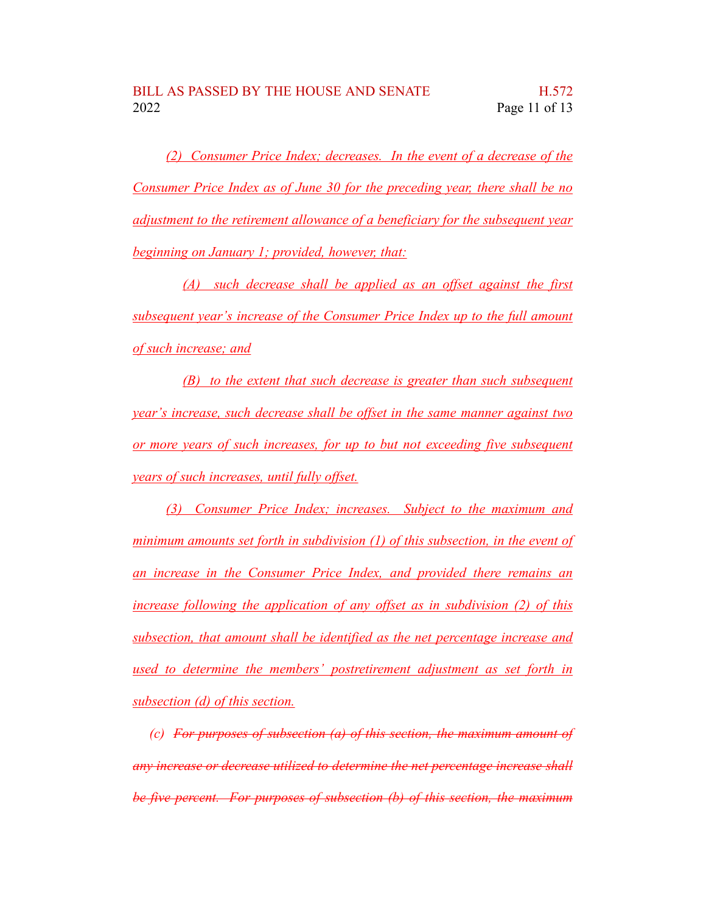*(2) Consumer Price Index; decreases. In the event of a decrease of the Consumer Price Index as of June 30 for the preceding year, there shall be no adjustment to the retirement allowance of a beneficiary for the subsequent year beginning on January 1; provided, however, that:*

*(A) such decrease shall be applied as an offset against the first subsequent year's increase of the Consumer Price Index up to the full amount of such increase; and*

*(B) to the extent that such decrease is greater than such subsequent year's increase, such decrease shall be offset in the same manner against two or more years of such increases, for up to but not exceeding five subsequent years of such increases, until fully offset.*

*(3) Consumer Price Index; increases. Subject to the maximum and minimum amounts set forth in subdivision (1) of this subsection, in the event of an increase in the Consumer Price Index, and provided there remains an increase following the application of any offset as in subdivision (2) of this subsection, that amount shall be identified as the net percentage increase and used to determine the members' postretirement adjustment as set forth in subsection (d) of this section.*

*(c) For purposes of subsection (a) of this section, the maximum amount of any increase or decrease utilized to determine the net percentage increase shall be five percent. For purposes of subsection (b) of this section, the maximum*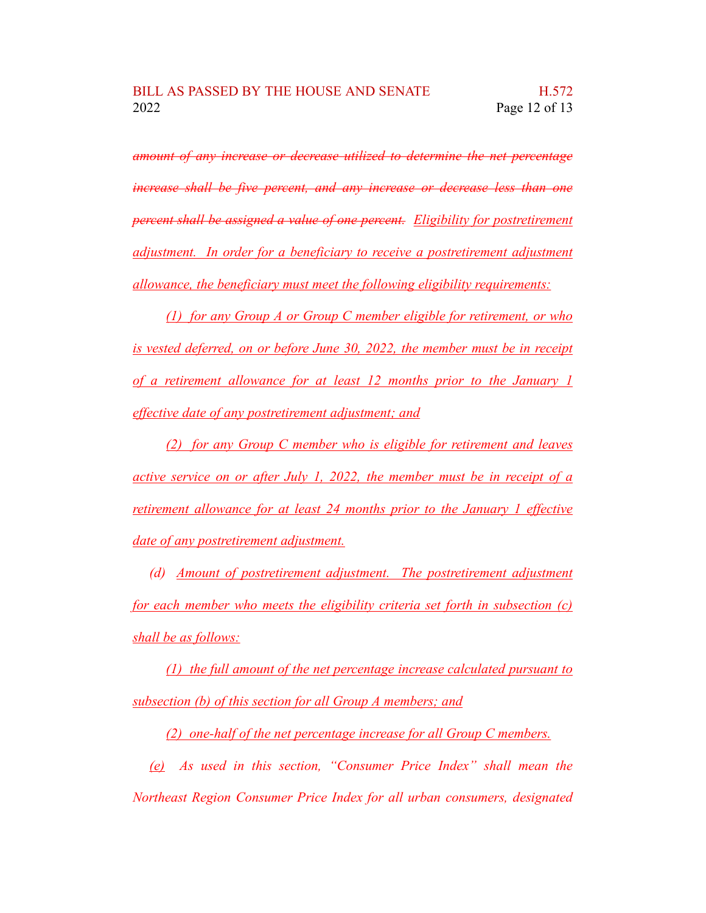*amount of any increase or decrease utilized to determine the net percentage increase shall be five percent, and any increase or decrease less than one percent shall be assigned a value of one percent. Eligibility for postretirement adjustment. In order for a beneficiary to receive a postretirement adjustment allowance, the beneficiary must meet the following eligibility requirements:*

*(1) for any Group A or Group C member eligible for retirement, or who is vested deferred, on or before June 30, 2022, the member must be in receipt of a retirement allowance for at least 12 months prior to the January 1 effective date of any postretirement adjustment; and*

*(2) for any Group C member who is eligible for retirement and leaves active service on or after July 1, 2022, the member must be in receipt of a retirement allowance for at least 24 months prior to the January 1 effective date of any postretirement adjustment.*

*(d) Amount of postretirement adjustment. The postretirement adjustment for each member who meets the eligibility criteria set forth in subsection (c) shall be as follows:*

*(1) the full amount of the net percentage increase calculated pursuant to subsection (b) of this section for all Group A members; and*

*(2) one-half of the net percentage increase for all Group C members.*

*(e) As used in this section, "Consumer Price Index" shall mean the Northeast Region Consumer Price Index for all urban consumers, designated*